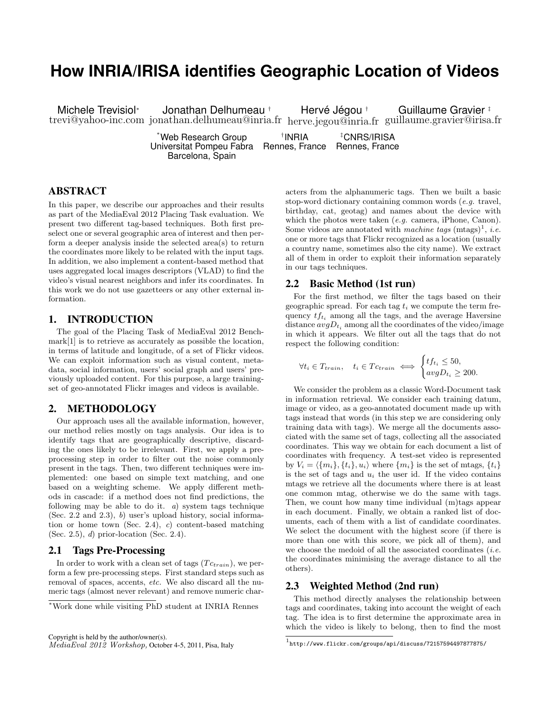# **How INRIA/IRISA identifies Geographic Location of Videos**

Michele Trevisiol<sup>∗</sup> trevi@yahoo-inc.com jonathan.delhumeau@inria.fr herve.jegou@inria.fr guillaume.gravier@irisa.fr Jonathan Delhumeau † Hervé Jégou † Guillaume Gravier ‡ \*Web Research Group † INRIA ‡CNRS/IRISA

Universitat Pompeu Fabra Rennes, France Rennes, France Barcelona, Spain

## ABSTRACT

In this paper, we describe our approaches and their results as part of the MediaEval 2012 Placing Task evaluation. We present two different tag-based techniques. Both first preselect one or several geographic area of interest and then perform a deeper analysis inside the selected area(s) to return the coordinates more likely to be related with the input tags. In addition, we also implement a content-based method that uses aggregated local images descriptors (VLAD) to find the video's visual nearest neighbors and infer its coordinates. In this work we do not use gazetteers or any other external information.

#### 1. INTRODUCTION

The goal of the Placing Task of MediaEval 2012 Benchmark[\[1\]](#page-1-0) is to retrieve as accurately as possible the location, in terms of latitude and longitude, of a set of Flickr videos. We can exploit information such as visual content, metadata, social information, users' social graph and users' previously uploaded content. For this purpose, a large trainingset of geo-annotated Flickr images and videos is available.

## 2. METHODOLOGY

Our approach uses all the available information, however, our method relies mostly on tags analysis. Our idea is to identify tags that are geographically descriptive, discarding the ones likely to be irrelevant. First, we apply a preprocessing step in order to filter out the noise commonly present in the tags. Then, two different techniques were implemented: one based on simple text matching, and one based on a weighting scheme. We apply different methods in cascade: if a method does not find predictions, the following may be able to do it.  $a$ ) system tags technique (Sec. [2.2](#page-0-0) and [2.3\)](#page-0-1), b) user's upload history, social information or home town (Sec. [2.4\)](#page-1-1), c) content-based matching (Sec. [2.5\)](#page-1-2), d) prior-location (Sec. [2.4\)](#page-1-1).

#### 2.1 Tags Pre-Processing

In order to work with a clean set of tags  $(T c_{train})$ , we perform a few pre-processing steps. First standard steps such as removal of spaces, accents, etc. We also discard all the numeric tags (almost never relevant) and remove numeric char-

Copyright is held by the author/owner(s). MediaEval 2012 Workshop, October 4-5, 2011, Pisa, Italy acters from the alphanumeric tags. Then we built a basic stop-word dictionary containing common words (e.g. travel, birthday, cat, geotag) and names about the device with which the photos were taken (e.g. camera, iPhone, Canon). Some videos are annotated with machine tags  $(\text{mtags})^1$  $(\text{mtags})^1$ , *i.e.* one or more tags that Flickr recognized as a location (usually a country name, sometimes also the city name). We extract all of them in order to exploit their information separately in our tags techniques.

#### <span id="page-0-0"></span>2.2 Basic Method (1st run)

For the first method, we filter the tags based on their geographic spread. For each tag  $t_i$  we compute the term frequency  $tf_{t_i}$  among all the tags, and the average Haversine distance  $avgD_{t_i}$  among all the coordinates of the video/image in which it appears. We filter out all the tags that do not respect the following condition:

$$
\forall t_i \in T_{train}, \quad t_i \in T_{\text{train}} \iff \begin{cases} t f_{t_i} \leq 50, \\ avg D_{t_i} \geq 200. \end{cases}
$$

We consider the problem as a classic Word-Document task in information retrieval. We consider each training datum, image or video, as a geo-annotated document made up with tags instead that words (in this step we are considering only training data with tags). We merge all the documents associated with the same set of tags, collecting all the associated coordinates. This way we obtain for each document a list of coordinates with frequency. A test-set video is represented by  $V_i = \langle \{m_i\}, \{t_i\}, u_i \rangle$  where  $\{m_i\}$  is the set of mtags,  $\{t_i\}$ is the set of tags and  $u_i$  the user id. If the video contains mtags we retrieve all the documents where there is at least one common mtag, otherwise we do the same with tags. Then, we count how many time individual (m)tags appear in each document. Finally, we obtain a ranked list of documents, each of them with a list of candidate coordinates. We select the document with the highest score (if there is more than one with this score, we pick all of them), and we choose the medoid of all the associated coordinates  $(i.e.$ the coordinates minimising the average distance to all the others).

## <span id="page-0-1"></span>2.3 Weighted Method (2nd run)

This method directly analyses the relationship between tags and coordinates, taking into account the weight of each tag. The idea is to first determine the approximate area in which the video is likely to belong, then to find the most

<sup>∗</sup>Work done while visiting PhD student at INRIA Rennes

<span id="page-0-2"></span> $^{\rm 1}$ <http://www.flickr.com/groups/api/discuss/72157594497877875/>